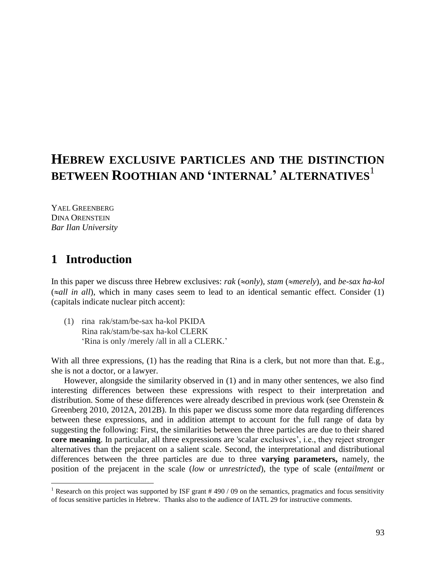# **HEBREW EXCLUSIVE PARTICLES AND THE DISTINCTION BETWEEN ROOTHIAN AND 'INTERNAL' ALTERNATIVES**<sup>1</sup>

YAEL GREENBERG DINA ORENSTEIN *Bar Ilan University*

# **1** Introduction

 $\overline{a}$ 

In this paper we discuss three Hebrew exclusives: *rak* ( $\approx$ *only)*, *stam* ( $\approx$ *merely*), and *be-sax ha-kol*  $(\approx all \text{ in all}),$  which in many cases seem to lead to an identical semantic effect. Consider (1) (capitals indicate nuclear pitch accent):

(1) rina rak/stam/be-sax ha-kol PKIDA Rina rak/stam/be-sax ha-kol CLERK 'Rina is only /merely /all in all a CLERK.'

With all three expressions, (1) has the reading that Rina is a clerk, but not more than that. E.g., she is not a doctor, or a lawyer.

However, alongside the similarity observed in (1) and in many other sentences, we also find interesting differences between these expressions with respect to their interpretation and distribution. Some of these differences were already described in previous work (see Orenstein & Greenberg 2010, 2012A, 2012B). In this paper we discuss some more data regarding differences between these expressions, and in addition attempt to account for the full range of data by suggesting the following: First, the similarities between the three particles are due to their shared **core meaning**. In particular, all three expressions are 'scalar exclusives', i.e., they reject stronger alternatives than the prejacent on a salient scale. Second, the interpretational and distributional differences between the three particles are due to three **varying parameters,** namely, the position of the prejacent in the scale (*low* or *unrestricted*), the type of scale (*entailment* or

<sup>&</sup>lt;sup>1</sup> Research on this project was supported by ISF grant  $#490/09$  on the semantics, pragmatics and focus sensitivity of focus sensitive particles in Hebrew. Thanks also to the audience of IATL 29 for instructive comments.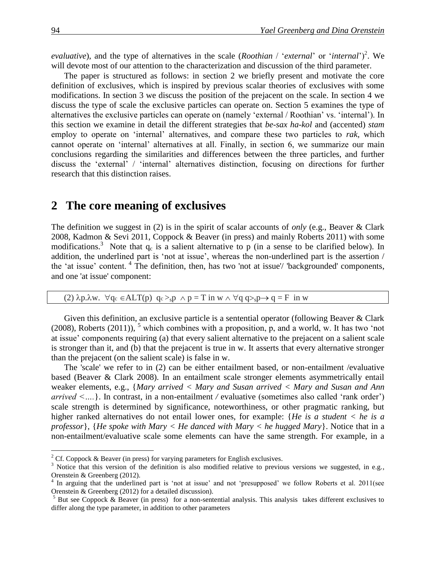*evaluative*), and the type of alternatives in the scale (*Roothian* / '*external*' or '*internal*')<sup>2</sup>. We will devote most of our attention to the characterization and discussion of the third parameter.

The paper is structured as follows: in section 2 we briefly present and motivate the core definition of exclusives, which is inspired by previous scalar theories of exclusives with some modifications. In section 3 we discuss the position of the prejacent on the scale. In section 4 we discuss the type of scale the exclusive particles can operate on. Section 5 examines the type of alternatives the exclusive particles can operate on (namely 'external / Roothian' vs. 'internal'). In this section we examine in detail the different strategies that *be-sax ha-kol* and (accented) *stam* employ to operate on 'internal' alternatives, and compare these two particles to *rak*, which cannot operate on 'internal' alternatives at all. Finally, in section 6, we summarize our main conclusions regarding the similarities and differences between the three particles, and further discuss the 'external' / 'internal' alternatives distinction, focusing on directions for further research that this distinction raises.

### **2xxThe core meaning of exclusives**

The definition we suggest in (2) is in the spirit of scalar accounts of *only* (e.g., Beaver & Clark 2008, Kadmon & Sevi 2011, Coppock & Beaver (in press) and mainly Roberts 2011) with some modifications.<sup>3</sup> Note that  $q_c$  is a salient alternative to p (in a sense to be clarified below). In addition, the underlined part is 'not at issue', whereas the non-underlined part is the assertion / the 'at issue' content. <sup>4</sup> The definition, then, has two 'not at issue'/ 'backgrounded' components, and one 'at issue' component:

#### (2)  $\lambda p.\lambda w. \forall q_c \in ALT(p) \quad q_c >_s p \land p = T \text{ in } w \land \forall q \quad q >_s p \rightarrow q = F \text{ in } w$

Given this definition, an exclusive particle is a sentential operator (following Beaver & Clark  $(2008)$ , Roberts  $(2011)$ , <sup>5</sup> which combines with a proposition, p, and a world, w. It has two 'not at issue' components requiring (a) that every salient alternative to the prejacent on a salient scale is stronger than it, and (b) that the prejacent is true in w. It asserts that every alternative stronger than the prejacent (on the salient scale) is false in w.

The 'scale' we refer to in (2) can be either entailment based, or non-entailment /evaluative based (Beaver & Clark 2008). In an entailment scale stronger elements asymmetrically entail weaker elements, e.g., {*Mary arrived < Mary and Susan arrived < Mary and Susan and Ann arrived <….*}. In contrast, in a non-entailment */* evaluative (sometimes also called 'rank order') scale strength is determined by significance, noteworthiness, or other pragmatic ranking, but higher ranked alternatives do not entail lower ones, for example: {*He is a student < he is a professor*}, {*He spoke with Mary < He danced with Mary < he hugged Mary*}. Notice that in a non-entailment/evaluative scale some elements can have the same strength. For example, in a

<sup>&</sup>lt;sup>2</sup> Cf. Coppock & Beaver (in press) for varying parameters for English exclusives.

<sup>&</sup>lt;sup>3</sup> Notice that this version of the definition is also modified relative to previous versions we suggested, in e.g., Orenstein & Greenberg (2012).

<sup>&</sup>lt;sup>4</sup> In arguing that the underlined part is 'not at issue' and not 'presupposed' we follow Roberts et al. 2011(see Orenstein & Greenberg (2012) for a detailed discussion).

 $5$  But see Coppock  $\&$  Beaver (in press) for a non-sentential analysis. This analysis takes different exclusives to differ along the type parameter, in addition to other parameters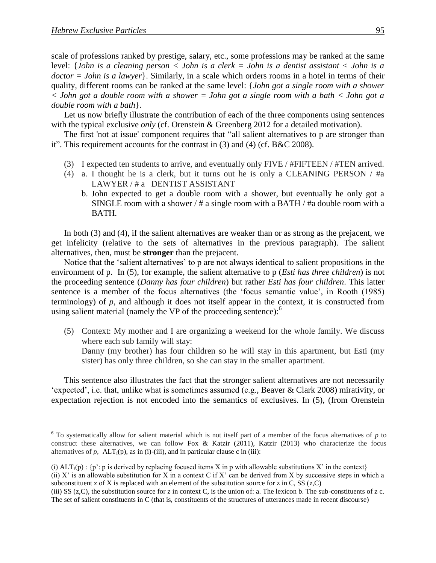$\overline{a}$ 

scale of professions ranked by prestige, salary, etc., some professions may be ranked at the same level: {*John is a cleaning person < John is a clerk = John is a dentist assistant < John is a doctor = John is a lawyer*}. Similarly, in a scale which orders rooms in a hotel in terms of their quality, different rooms can be ranked at the same level: {*John got a single room with a shower < John got a double room with a shower = John got a single room with a bath < John got a double room with a bath*}.

Let us now briefly illustrate the contribution of each of the three components using sentences with the typical exclusive *only* (cf. Orenstein & Greenberg 2012 for a detailed motivation).

The first 'not at issue' component requires that "all salient alternatives to p are stronger than it". This requirement accounts for the contrast in (3) and (4) (cf. B&C 2008).

- (3) I expected ten students to arrive, and eventually only FIVE / #FIFTEEN / #TEN arrived.
- (4) a. I thought he is a clerk, but it turns out he is only a CLEANING PERSON / #a LAWYER / # a DENTIST ASSISTANT
	- b. John expected to get a double room with a shower, but eventually he only got a SINGLE room with a shower / # a single room with a BATH / #a double room with a BATH.

In both (3) and (4), if the salient alternatives are weaker than or as strong as the prejacent, we get infelicity (relative to the sets of alternatives in the previous paragraph). The salient alternatives, then, must be **stronger** than the prejacent.

Notice that the 'salient alternatives' to p are not always identical to salient propositions in the environment of p. In (5), for example, the salient alternative to p (*Esti has three children*) is not the proceeding sentence (*Danny has four children*) but rather *Esti has four children*. This latter sentence is a member of the focus alternatives (the 'focus semantic value', in Rooth (1985) terminology) of *p*, and although it does not itself appear in the context, it is constructed from using salient material (namely the VP of the proceeding sentence): $<sup>6</sup>$ </sup>

(5) Context: My mother and I are organizing a weekend for the whole family. We discuss where each sub family will stay:

Danny (my brother) has four children so he will stay in this apartment, but Esti (my sister) has only three children, so she can stay in the smaller apartment.

This sentence also illustrates the fact that the stronger salient alternatives are not necessarily 'expected', i.e. that, unlike what is sometimes assumed (e.g., Beaver & Clark 2008) mirativity, or expectation rejection is not encoded into the semantics of exclusives. In (5), (from Orenstein

 $6$  To systematically allow for salient material which is not itself part of a member of the focus alternatives of  $p$  to construct these alternatives, we can follow Fox & Katzir (2011), Katzir (2013) who characterize the focus alternatives of  $p$ ,  $\text{ALT}_{f}(p)$ , as in (i)-(iii), and in particular clause c in (iii):

<sup>(</sup>i)  $ALT_f(p)$ : {p': p is derived by replacing focused items X in p with allowable substitutions X' in the context} (ii)  $X'$  is an allowable substitution for X in a context C if X' can be derived from X by successive steps in which a subconstituent z of X is replaced with an element of the substitution source for z in C, SS ( $z$ ,C)

<sup>(</sup>iii) SS (z,C), the substitution source for z in context C, is the union of: a. The lexicon b. The sub-constituents of z c. The set of salient constituents in C (that is, constituents of the structures of utterances made in recent discourse)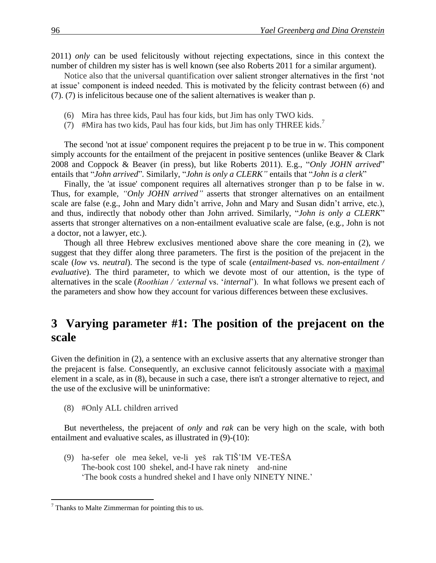2011) *only* can be used felicitously without rejecting expectations, since in this context the number of children my sister has is well known (see also Roberts 2011 for a similar argument).

Notice also that the universal quantification over salient stronger alternatives in the first 'not at issue' component is indeed needed. This is motivated by the felicity contrast between (6) and (7). (7) is infelicitous because one of the salient alternatives is weaker than p.

- (6) Mira has three kids, Paul has four kids, but Jim has only TWO kids.
- (7) #Mira has two kids, Paul has four kids, but Jim has only THREE kids.<sup>7</sup>

The second 'not at issue' component requires the prejacent p to be true in w. This component simply accounts for the entailment of the prejacent in positive sentences (unlike Beaver & Clark 2008 and Coppock & Beaver (in press), but like Roberts 2011). E.g., "*Only JOHN arrived*" entails that "*John arrived*"*.* Similarly, "*John is only a CLERK"* entails that "*John is a clerk*"

Finally, the 'at issue' component requires all alternatives stronger than p to be false in w. Thus, for example, *"Only JOHN arrived"* asserts that stronger alternatives on an entailment scale are false (e.g., John and Mary didn't arrive, John and Mary and Susan didn't arrive, etc.), and thus, indirectly that nobody other than John arrived. Similarly, "*John is only a CLERK*" asserts that stronger alternatives on a non-entailment evaluative scale are false, (e.g., John is not a doctor, not a lawyer, etc.).

Though all three Hebrew exclusives mentioned above share the core meaning in (2), we suggest that they differ along three parameters. The first is the position of the prejacent in the scale (*low* vs. *neutral*). The second is the type of scale (*entailment-based* vs. *non-entailment / evaluative*). The third parameter, to which we devote most of our attention, is the type of alternatives in the scale (*Roothian / 'external* vs. '*internal*'). In what follows we present each of the parameters and show how they account for various differences between these exclusives.

# **3** Varying parameter #1: The position of the prejacent on the **scale**

Given the definition in (2), a sentence with an exclusive asserts that any alternative stronger than the prejacent is false. Consequently, an exclusive cannot felicitously associate with a maximal element in a scale, as in (8), because in such a case, there isn't a stronger alternative to reject, and the use of the exclusive will be uninformative:

(8) #Only ALL children arrived

But nevertheless, the prejacent of *only* and *rak* can be very high on the scale, with both entailment and evaluative scales, as illustrated in (9)-(10):

(9) ha-sefer ole mea šekel, ve-li yeš rak TIŠ'IM VE-TEŠA The-book cost 100 shekel, and-I have rak ninety and-nine 'The book costs a hundred shekel and I have only NINETY NINE.'

 $7$  Thanks to Malte Zimmerman for pointing this to us.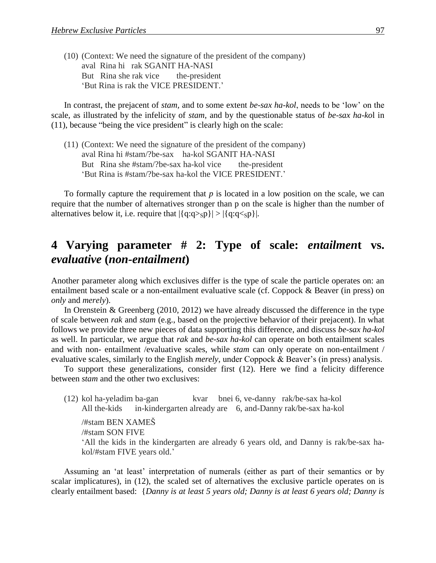(10) (Context: We need the signature of the president of the company) aval Rina hi rak SGANIT HA-NASI But Rina she rak vice the-president 'But Rina is rak the VICE PRESIDENT.'

In contrast, the prejacent of *stam,* and to some extent *be-sax ha-kol*, needs to be 'low' on the scale, as illustrated by the infelicity of *stam*, and by the questionable status of *be-sax ha-ko*l in (11), because "being the vice president" is clearly high on the scale:

(11) (Context: We need the signature of the president of the company) aval Rina hi #stam/?be-sax ha-kol SGANIT HA-NASI But Rina she #stam/?be-sax ha-kol vice the-president 'But Rina is #stam/?be-sax ha-kol the VICE PRESIDENT.'

To formally capture the requirement that *p* is located in a low position on the scale, we can require that the number of alternatives stronger than p on the scale is higher than the number of alternatives below it, i.e. require that  $|\{q:q>p\}| > |\{q:q.$ 

# **4xxVarying parameter # 2: Type of scale:** *entailmen***t vs.**  *evaluative* **(***non-entailment***)**

Another parameter along which exclusives differ is the type of scale the particle operates on: an entailment based scale or a non-entailment evaluative scale (cf. Coppock & Beaver (in press) on *only* and *merely*).

In Orenstein & Greenberg (2010, 2012) we have already discussed the difference in the type of scale between *rak* and *stam* (e.g., based on the projective behavior of their prejacent). In what follows we provide three new pieces of data supporting this difference, and discuss *be-sax ha-kol*  as well. In particular, we argue that *rak* and *be-sax ha-kol* can operate on both entailment scales and with non- entailment /evaluative scales, while *stam* can only operate on non-entailment / evaluative scales, similarly to the English *merely*, under Coppock & Beaver's (in press) analysis.

To support these generalizations, consider first (12). Here we find a felicity difference between *stam* and the other two exclusives:

(12) kol ha-yeladim ba-gan kvar bnei 6, ve-danny rak/be-sax ha-kol All the-kids in-kindergarten already are 6, and-Danny rak/be-sax ha-kol

/#stam BEN XAMEŠ /#stam SON FIVE 'All the kids in the kindergarten are already 6 years old, and Danny is rak/be-sax hakol/#stam FIVE years old.'

Assuming an 'at least' interpretation of numerals (either as part of their semantics or by scalar implicatures), in (12), the scaled set of alternatives the exclusive particle operates on is clearly entailment based: {*Danny is at least 5 years old; Danny is at least 6 years old; Danny is*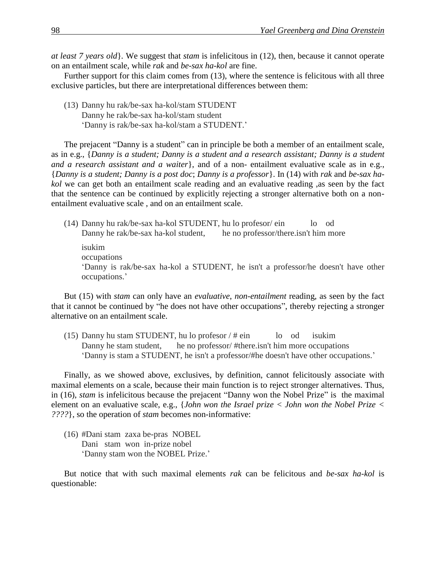*at least 7 years old*}*.* We suggest that *stam* is infelicitous in (12), then, because it cannot operate on an entailment scale, while *rak* and *be-sax ha-kol* are fine.

Further support for this claim comes from (13), where the sentence is felicitous with all three exclusive particles, but there are interpretational differences between them:

(13) Danny hu rak/be-sax ha-kol/stam STUDENT Danny he rak/be-sax ha-kol/stam student 'Danny is rak/be-sax ha-kol/stam a STUDENT.'

The prejacent "Danny is a student" can in principle be both a member of an entailment scale, as in e.g., {*Danny is a student; Danny is a student and a research assistant; Danny is a student and a research assistant and a waiter*}, and of a non- entailment evaluative scale as in e.g., {*Danny is a student; Danny is a post doc*; *Danny is a professor*}. In (14) with *rak* and *be-sax hakol* we can get both an entailment scale reading and an evaluative reading ,as seen by the fact that the sentence can be continued by explicitly rejecting a stronger alternative both on a nonentailment evaluative scale , and on an entailment scale.

(14) Danny hu rak/be-sax ha-kol STUDENT, hu lo profesor/ ein lo od Danny he rak/be-sax ha-kol student, he no professor/there.isn't him more isukim occupations 'Danny is rak/be-sax ha-kol a STUDENT, he isn't a professor/he doesn't have other occupations.'

But (15) with *stam* can only have an *evaluative*, *non-entailment* reading, as seen by the fact that it cannot be continued by "he does not have other occupations", thereby rejecting a stronger alternative on an entailment scale.

(15) Danny hu stam STUDENT, hu lo profesor  $/$  # ein lo od isukim Danny he stam student, he no professor/ #there.isn't him more occupations 'Danny is stam a STUDENT, he isn't a professor/#he doesn't have other occupations.'

Finally, as we showed above, exclusives, by definition, cannot felicitously associate with maximal elements on a scale, because their main function is to reject stronger alternatives. Thus, in (16), *stam* is infelicitous because the prejacent "Danny won the Nobel Prize" is the maximal element on an evaluative scale, e.g., {*John won the Israel prize < John won the Nobel Prize < ????*}, so the operation of *stam* becomes non-informative:

(16) #Dani stam zaxa be-pras NOBEL Dani stam won in-prize nobel 'Danny stam won the NOBEL Prize.'

But notice that with such maximal elements *rak* can be felicitous and *be-sax ha-kol* is questionable: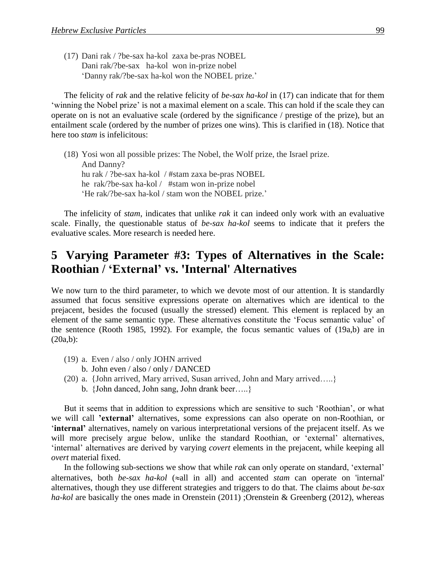(17) Dani rak / ?be-sax ha-kol zaxa be-pras NOBEL Dani rak/?be-sax ha-kol won in-prize nobel 'Danny rak/?be-sax ha-kol won the NOBEL prize.'

The felicity of *rak* and the relative felicity of *be-sax ha-kol* in (17) can indicate that for them 'winning the Nobel prize' is not a maximal element on a scale. This can hold if the scale they can operate on is not an evaluative scale (ordered by the significance / prestige of the prize), but an entailment scale (ordered by the number of prizes one wins). This is clarified in (18). Notice that here too *stam* is infelicitous:

(18) Yosi won all possible prizes: The Nobel, the Wolf prize, the Israel prize. And Danny? hu rak / ?be-sax ha-kol / #stam zaxa be-pras NOBEL he rak/?be-sax ha-kol / #stam won in-prize nobel 'He rak/?be-sax ha-kol / stam won the NOBEL prize.'

The infelicity of *stam*, indicates that unlike *rak* it can indeed only work with an evaluative scale. Finally, the questionable status of *be-sax ha-kol* seems to indicate that it prefers the evaluative scales. More research is needed here.

# **5** Varying Parameter #3: Types of Alternatives in the Scale: **Roothian / 'External' vs. 'Internal' Alternatives**

We now turn to the third parameter, to which we devote most of our attention. It is standardly assumed that focus sensitive expressions operate on alternatives which are identical to the prejacent, besides the focused (usually the stressed) element. This element is replaced by an element of the same semantic type. These alternatives constitute the 'Focus semantic value' of the sentence (Rooth 1985, 1992). For example, the focus semantic values of (19a,b) are in (20a,b):

- (19) a. Even / also / only JOHN arrived
	- b. John even / also / only / DANCED
- (20) a. {John arrived, Mary arrived, Susan arrived, John and Mary arrived…..}
	- b. {John danced, John sang, John drank beer…..}

But it seems that in addition to expressions which are sensitive to such 'Roothian', or what we will call **'external'** alternatives, some expressions can also operate on non-Roothian, or '**internal'** alternatives, namely on various interpretational versions of the prejacent itself. As we will more precisely argue below, unlike the standard Roothian, or 'external' alternatives, 'internal' alternatives are derived by varying *covert* elements in the prejacent, while keeping all *overt* material fixed.

In the following sub-sections we show that while *rak* can only operate on standard, 'external' alternatives, both *be-sax ha-kol* ( $\approx$ all in all) and accented *stam* can operate on 'internal' alternatives, though they use different strategies and triggers to do that. The claims about *be-sax ha-kol* are basically the ones made in Orenstein (2011) ;Orenstein & Greenberg (2012), whereas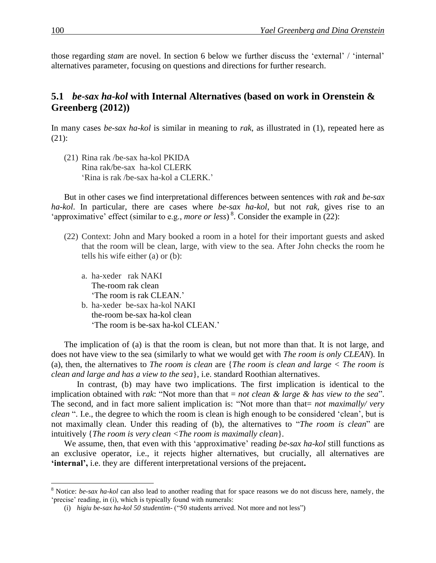those regarding *stam* are novel. In section 6 below we further discuss the 'external' / 'internal' alternatives parameter, focusing on questions and directions for further research.

#### **5.1** *be-sax ha-kol* with Internal Alternatives (based on work in Orenstein & **Greenberg (2012))**

In many cases *be-sax ha-kol* is similar in meaning to *rak*, as illustrated in (1), repeated here as (21):

(21) Rina rak /be-sax ha-kol PKIDA Rina rak/be-sax ha-kol CLERK 'Rina is rak /be-sax ha-kol a CLERK.'

But in other cases we find interpretational differences between sentences with *rak* and *be-sax ha-kol*. In particular, there are cases where *be-sax ha-kol*, but not *rak,* gives rise to an 'approximative' effect (similar to e.g., *more or less*)<sup>8</sup>. Consider the example in (22):

- (22) Context: John and Mary booked a room in a hotel for their important guests and asked that the room will be clean, large, with view to the sea. After John checks the room he tells his wife either (a) or (b):
	- a. ha-xeder rak NAKI The-room rak clean 'The room is rak CLEAN.'
	- b. ha-xeder be-sax ha-kol NAKI the-room be-sax ha-kol clean 'The room is be-sax ha-kol CLEAN.'

The implication of (a) is that the room is clean, but not more than that. It is not large, and does not have view to the sea (similarly to what we would get with *The room is only CLEAN*). In (a), then, the alternatives to *The room is clean* are {*The room is clean and large < The room is clean and large and has a view to the sea*}, i.e. standard Roothian alternatives.

In contrast, (b) may have two implications. The first implication is identical to the implication obtained with *rak*: "Not more than that = *not clean & large & has view to the sea*". The second, and in fact more salient implication is: "Not more than that= *not maximally/ very clean* ". I.e., the degree to which the room is clean is high enough to be considered 'clean', but is not maximally clean. Under this reading of (b), the alternatives to "*The room is clean*" are intuitively {*The room is very clean <The room is maximally clean*}*.*

We assume, then, that even with this 'approximative' reading *be-sax ha-kol* still functions as an exclusive operator, i.e., it rejects higher alternatives, but crucially, all alternatives are **'internal',** i.e. they are different interpretational versions of the prejacent**.**

<sup>8</sup> Notice: *be-sax ha-kol* can also lead to another reading that for space reasons we do not discuss here, namely, the 'precise' reading, in (i), which is typically found with numerals:

<sup>(</sup>i) *higiu be-sax ha-kol 50 studentim*- ("50 students arrived. Not more and not less")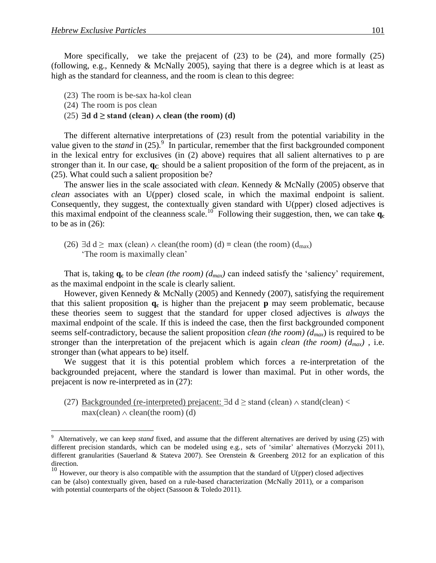More specifically, we take the prejacent of (23) to be (24), and more formally (25) (following, e.g., Kennedy & McNally 2005), saying that there is a degree which is at least as high as the standard for cleanness, and the room is clean to this degree:

- (23) The room is be-sax ha-kol clean
- (24) The room is pos clean

 $\overline{a}$ 

(25)  $\exists d \, d \geq$  stand (clean)  $\land$  clean (the room) (d)

The different alternative interpretations of (23) result from the potential variability in the value given to the *stand* in  $(25)$ .<sup>9</sup> In particular, remember that the first backgrounded component in the lexical entry for exclusives (in (2) above) requires that all salient alternatives to p are stronger than it. In our case, **qC** should be a salient proposition of the form of the prejacent, as in (25). What could such a salient proposition be?

The answer lies in the scale associated with *clean*. Kennedy & McNally (2005) observe that *clean* associates with an U(pper) closed scale, in which the maximal endpoint is salient*.* Consequently, they suggest, the contextually given standard with U(pper) closed adjectives is this maximal endpoint of the cleanness scale.<sup>10</sup> Following their suggestion, then, we can take  $q_c$ to be as in  $(26)$ :

(26)  $\exists d \, d \geq \max$  (clean)  $\land$  clean(the room) (d) = clean (the room) (d<sub>max</sub>) 'The room is maximally clean'

That is, taking  $\mathbf{q}_c$  to be *clean (the room)* ( $d_{max}$ ) can indeed satisfy the 'saliency' requirement, as the maximal endpoint in the scale is clearly salient.

However, given Kennedy & McNally (2005) and Kennedy (2007), satisfying the requirement that this salient proposition **q<sup>c</sup>** is higher than the prejacent **p** may seem problematic, because these theories seem to suggest that the standard for upper closed adjectives is *always* the maximal endpoint of the scale. If this is indeed the case, then the first backgrounded component seems self-contradictory, because the salient proposition *clean (the room) (dmax*) is required to be stronger than the interpretation of the prejacent which is again *clean (the room) (dmax)* , i.e. stronger than (what appears to be) itself*.*

We suggest that it is this potential problem which forces a re-interpretation of the backgrounded prejacent, where the standard is lower than maximal. Put in other words, the prejacent is now re-interpreted as in (27):

(27) Backgrounded (re-interpreted) prejacent:  $\exists d \, d \geq$  stand (clean)  $\land$  stand(clean)  $\lt$  $max(clean) \wedge clean(the room)$  (d)

<sup>9</sup> Alternatively, we can keep *stand* fixed, and assume that the different alternatives are derived by using (25) with different precision standards, which can be modeled using e.g., sets of 'similar' alternatives (Morzycki 2011), different granularities (Sauerland & Stateva 2007). See Orenstein & Greenberg 2012 for an explication of this direction.

 $10$  However, our theory is also compatible with the assumption that the standard of U(pper) closed adjectives can be (also) contextually given, based on a rule-based characterization (McNally 2011), or a comparison with potential counterparts of the object (Sassoon & Toledo 2011).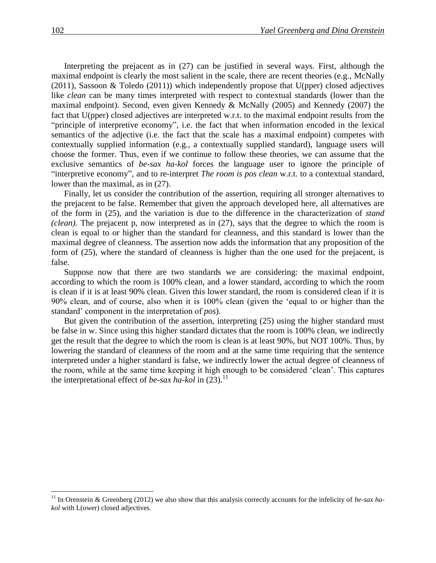Interpreting the prejacent as in (27) can be justified in several ways. First, although the maximal endpoint is clearly the most salient in the scale, there are recent theories (e.g., McNally (2011), Sassoon & Toledo (2011)) which independently propose that U(pper) closed adjectives like *clean* can be many times interpreted with respect to contextual standards (lower than the maximal endpoint). Second, even given Kennedy & McNally (2005) and Kennedy (2007) the fact that U(pper) closed adjectives are interpreted w.r.t. to the maximal endpoint results from the "principle of interpretive economy", i.e. the fact that when information encoded in the lexical semantics of the adjective (i.e. the fact that the scale has a maximal endpoint) competes with contextually supplied information (e.g., a contextually supplied standard), language users will choose the former. Thus, even if we continue to follow these theories, we can assume that the exclusive semantics of *be-sax ha-kol* forces the language user to ignore the principle of "interpretive economy", and to re-interpret *The room is pos clean* w.r.t. to a contextual standard, lower than the maximal, as in (27).

Finally, let us consider the contribution of the assertion, requiring all stronger alternatives to the prejacent to be false. Remember that given the approach developed here, all alternatives are of the form in (25), and the variation is due to the difference in the characterization of *stand (clean).* The prejacent p, now interpreted as in (27), says that the degree to which the room is clean is equal to or higher than the standard for cleanness, and this standard is lower than the maximal degree of cleanness. The assertion now adds the information that any proposition of the form of (25), where the standard of cleanness is higher than the one used for the prejacent, is false.

Suppose now that there are two standards we are considering: the maximal endpoint, according to which the room is 100% clean, and a lower standard, according to which the room is clean if it is at least 90% clean. Given this lower standard, the room is considered clean if it is 90% clean, and of course, also when it is 100% clean (given the 'equal to or higher than the standard' component in the interpretation of *pos*).

But given the contribution of the assertion, interpreting (25) using the higher standard must be false in w. Since using this higher standard dictates that the room is 100% clean, we indirectly get the result that the degree to which the room is clean is at least 90%, but NOT 100%. Thus, by lowering the standard of cleanness of the room and at the same time requiring that the sentence interpreted under a higher standard is false, we indirectly lower the actual degree of cleanness of the room, while at the same time keeping it high enough to be considered 'clean'. This captures the interpretational effect of *be-sax ha-kol* in  $(23)$ .<sup>11</sup>

<sup>&</sup>lt;sup>11</sup> In Orenstein & Greenberg (2012) we also show that this analysis correctly accounts for the infelicity of *be-sax hakol* with L(ower) closed adjectives.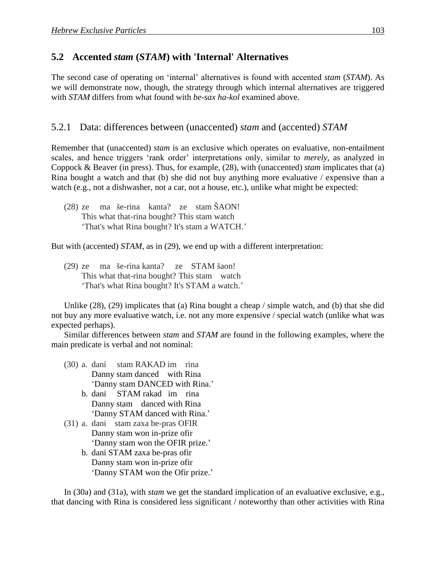### **5.2xxAccented** *stam* **(***STAM***) with 'Internal' Alternatives**

The second case of operating on 'internal' alternatives is found with accented *stam* (*STAM*). As we will demonstrate now, though, the strategy through which internal alternatives are triggered with *STAM* differs from what found with *be-sax ha-kol* examined above.

### 5.2.1 Data: differences between (unaccented) *stam* and (accented) *STAM*

Remember that (unaccented) *stam* is an exclusive which operates on evaluative, non-entailment scales, and hence triggers 'rank order' interpretations only, similar to *merely*, as analyzed in Coppock & Beaver (in press). Thus, for example, (28), with (unaccented) *stam* implicates that (a) Rina bought a watch and that (b) she did not buy anything more evaluative / expensive than a watch (e.g., not a dishwasher, not a car, not a house, etc.), unlike what might be expected:

(28) ze ma še-rina kanta? ze stam ŠAON! This what that-rina bought? This stam watch 'That's what Rina bought? It's stam a WATCH.'

But with (accented) *STAM*, as in (29), we end up with a different interpretation:

(29) ze ma še-rina kanta? ze STAM šaon! This what that-rina bought? This stam watch 'That's what Rina bought? It's STAM a watch.'

Unlike (28), (29) implicates that (a) Rina bought a cheap / simple watch, and (b) that she did not buy any more evaluative watch, i.e. not any more expensive / special watch (unlike what was expected perhaps).

Similar differences between *stam* and *STAM* are found in the following examples, where the main predicate is verbal and not nominal:

- (30) a. dani stam RAKAD im rina Danny stam danced with Rina 'Danny stam DANCED with Rina.'
	- b. dani STAM rakad im rina Danny stam danced with Rina 'Danny STAM danced with Rina.'
- (31) a. dani stam zaxa be-pras OFIR Danny stam won in-prize ofir 'Danny stam won the OFIR prize.'
	- b. dani STAM zaxa be-pras ofir Danny stam won in-prize ofir 'Danny STAM won the Ofir prize.'

In (30a) and (31a), with *stam* we get the standard implication of an evaluative exclusive, e.g., that dancing with Rina is considered less significant / noteworthy than other activities with Rina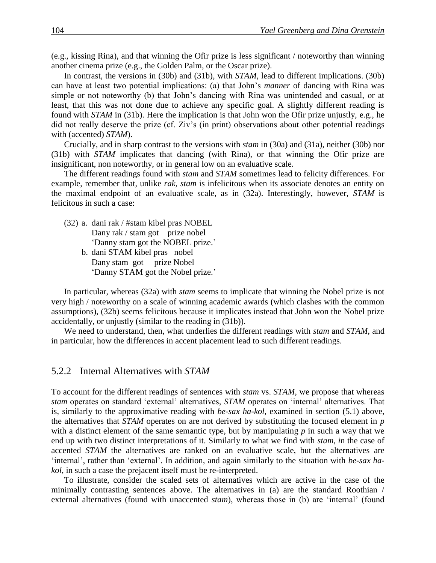(e.g., kissing Rina), and that winning the Ofir prize is less significant / noteworthy than winning another cinema prize (e.g., the Golden Palm, or the Oscar prize).

In contrast, the versions in (30b) and (31b), with *STAM*, lead to different implications. (30b) can have at least two potential implications: (a) that John's *manner* of dancing with Rina was simple or not noteworthy (b) that John's dancing with Rina was unintended and casual, or at least, that this was not done due to achieve any specific goal. A slightly different reading is found with *STAM* in (31b). Here the implication is that John won the Ofir prize unjustly, e.g., he did not really deserve the prize (cf. Ziv's (in print) observations about other potential readings with (accented) *STAM*).

Crucially, and in sharp contrast to the versions with *stam* in (30a) and (31a), neither (30b) nor (31b) with *STAM* implicates that dancing (with Rina), or that winning the Ofir prize are insignificant, non noteworthy, or in general low on an evaluative scale.

The different readings found with *stam* and *STAM* sometimes lead to felicity differences. For example, remember that, unlike *rak, stam* is infelicitous when its associate denotes an entity on the maximal endpoint of an evaluative scale, as in (32a). Interestingly, however, *STAM* is felicitous in such a case:

(32) a. dani rak / #stam kibel pras NOBEL Dany rak / stam got prize nobel 'Danny stam got the NOBEL prize.' b. dani STAM kibel pras nobel Dany stam got prize Nobel 'Danny STAM got the Nobel prize.'

In particular, whereas (32a) with *stam* seems to implicate that winning the Nobel prize is not very high / noteworthy on a scale of winning academic awards (which clashes with the common assumptions), (32b) seems felicitous because it implicates instead that John won the Nobel prize accidentally, or unjustly (similar to the reading in (31b)).

We need to understand, then, what underlies the different readings with *stam* and *STAM*, and in particular, how the differences in accent placement lead to such different readings.

#### 5.2.2 Internal Alternatives with *STAM*

To account for the different readings of sentences with *stam* vs. *STAM*, we propose that whereas *stam* operates on standard 'external' alternatives, *STAM* operates on 'internal' alternatives. That is, similarly to the approximative reading with *be-sax ha-kol,* examined in section (5.1) above, the alternatives that *STAM* operates on are not derived by substituting the focused element in *p*  with a distinct element of the same semantic type, but by manipulating *p* in such a way that we end up with two distinct interpretations of it. Similarly to what we find with *stam, i*n the case of accented *STAM* the alternatives are ranked on an evaluative scale, but the alternatives are 'internal', rather than 'external'. In addition, and again similarly to the situation with *be-sax hakol*, in such a case the prejacent itself must be re-interpreted.

To illustrate, consider the scaled sets of alternatives which are active in the case of the minimally contrasting sentences above. The alternatives in (a) are the standard Roothian / external alternatives (found with unaccented *stam*), whereas those in (b) are 'internal' (found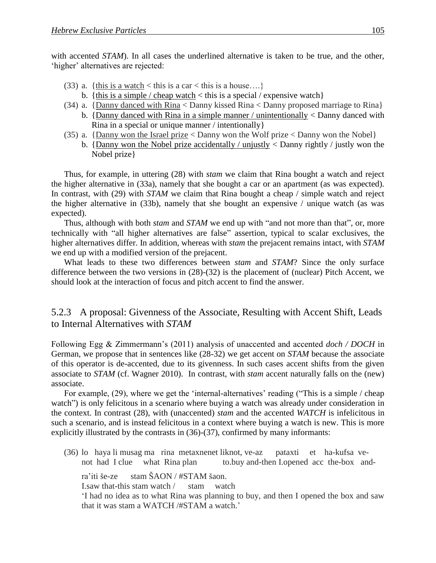with accented *STAM*). In all cases the underlined alternative is taken to be true, and the other, 'higher' alternatives are rejected:

- (33) a. {this is a watch < this is a car < this is a house....}
	- b. {this is a simple / cheap watch  $\lt$  this is a special / expensive watch}
- (34) a. {Danny danced with Rina < Danny kissed Rina < Danny proposed marriage to Rina} b. {Danny danced with Rina in a simple manner / unintentionally < Danny danced with Rina in a special or unique manner / intentionally}
- (35) a.  $\{Danny won the Israel prize < Danny won the Wolf prize < Danny won the Nobel\}$ 
	- b. {Danny won the Nobel prize accidentally / unjustly < Danny rightly / justly won the Nobel prize}

Thus, for example, in uttering (28) with *stam* we claim that Rina bought a watch and reject the higher alternative in (33a), namely that she bought a car or an apartment (as was expected). In contrast, with (29) with *STAM* we claim that Rina bought a cheap / simple watch and reject the higher alternative in (33b), namely that she bought an expensive / unique watch (as was expected).

Thus, although with both *stam* and *STAM* we end up with "and not more than that", or, more technically with "all higher alternatives are false" assertion, typical to scalar exclusives, the higher alternatives differ. In addition, whereas with *stam* the prejacent remains intact, with *STAM*  we end up with a modified version of the prejacent.

What leads to these two differences between *stam* and *STAM*? Since the only surface difference between the two versions in (28)-(32) is the placement of (nuclear) Pitch Accent, we should look at the interaction of focus and pitch accent to find the answer.

### 5.2.3 A proposal: Givenness of the Associate, Resulting with Accent Shift, Leads to Internal Alternatives with *STAM*

Following Egg & Zimmermann's (2011) analysis of unaccented and accented *doch / DOCH* in German, we propose that in sentences like (28-32) we get accent on *STAM* because the associate of this operator is de-accented, due to its givenness. In such cases accent shifts from the given associate to *STAM* (cf. Wagner 2010). In contrast, with *stam* accent naturally falls on the (new) associate.

For example, (29), where we get the 'internal-alternatives' reading ("This is a simple / cheap watch") is only felicitous in a scenario where buying a watch was already under consideration in the context. In contrast (28), with (unaccented) *stam* and the accented *WATCH* is infelicitous in such a scenario, and is instead felicitous in a context where buying a watch is new. This is more explicitly illustrated by the contrasts in (36)-(37), confirmed by many informants:

(36) lo haya li musag ma rina metaxnenet liknot, ve-az pataxti et ha-kufsa venot had I clue what Rina plan to.buy and-then I.opened acc the-box and-

ra'iti še-ze stam ŠAON / #STAM šaon.

I.saw that-this stam watch / stam watch

'I had no idea as to what Rina was planning to buy, and then I opened the box and saw that it was stam a WATCH /#STAM a watch.'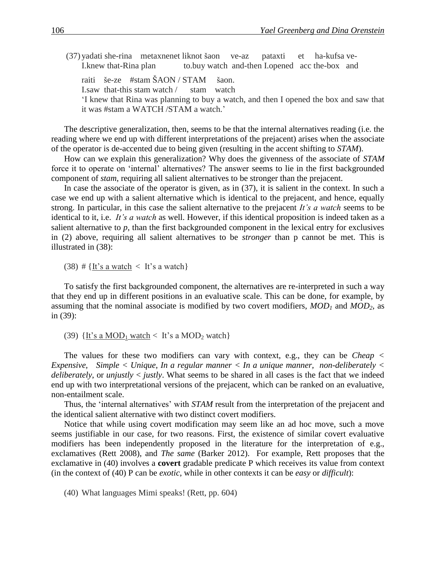- (37) yadati she-rina metaxnenet liknot šaon ve-az pataxti et ha-kufsa ve-I.knew that-Rina plan to.buy watch and-then I.opened acc the-box and
	- raiti še-ze #stam ŠAON / STAM šaon.
	- I.saw that-this stam watch / stam watch

'I knew that Rina was planning to buy a watch, and then I opened the box and saw that it was #stam a WATCH /STAM a watch.'

The descriptive generalization, then, seems to be that the internal alternatives reading (i.e. the reading where we end up with different interpretations of the prejacent) arises when the associate of the operator is de-accented due to being given (resulting in the accent shifting to *STAM*).

How can we explain this generalization? Why does the givenness of the associate of *STAM* force it to operate on 'internal' alternatives? The answer seems to lie in the first backgrounded component of *stam*, requiring all salient alternatives to be stronger than the prejacent.

In case the associate of the operator is given, as in (37), it is salient in the context. In such a case we end up with a salient alternative which is identical to the prejacent, and hence, equally strong. In particular, in this case the salient alternative to the prejacent *It's a watch* seems to be identical to it, i.e. *It's a watch* as well. However, if this identical proposition is indeed taken as a salient alternative to *p*, than the first backgrounded component in the lexical entry for exclusives in (2) above, requiring all salient alternatives to be *stronger* than p cannot be met. This is illustrated in (38):

(38) # {It's a watch  $\langle$  It's a watch}

To satisfy the first backgrounded component, the alternatives are re-interpreted in such a way that they end up in different positions in an evaluative scale. This can be done, for example, by assuming that the nominal associate is modified by two covert modifiers, *MOD<sup>1</sup>* and *MOD2,* as in (39):

(39)  $\{It's a MOD<sub>1</sub> watch < it's a MOD<sub>2</sub> watch\}$ 

The values for these two modifiers can vary with context, e.g., they can be *Cheap < Expensive, Simple < Unique*, *In a regular manner < In a unique manner, non-deliberately < deliberately*, or *unjustly* < *justly*. What seems to be shared in all cases is the fact that we indeed end up with two interpretational versions of the prejacent, which can be ranked on an evaluative, non-entailment scale.

Thus, the 'internal alternatives' with *STAM* result from the interpretation of the prejacent and the identical salient alternative with two distinct covert modifiers.

Notice that while using covert modification may seem like an ad hoc move, such a move seems justifiable in our case, for two reasons. First, the existence of similar covert evaluative modifiers has been independently proposed in the literature for the interpretation of e.g., exclamatives (Rett 2008), and *The same* (Barker 2012). For example, Rett proposes that the exclamative in (40) involves a **covert** gradable predicate P which receives its value from context (in the context of (40) P can be *exotic*, while in other contexts it can be *easy* or *difficult*):

(40) What languages Mimi speaks! (Rett, pp. 604)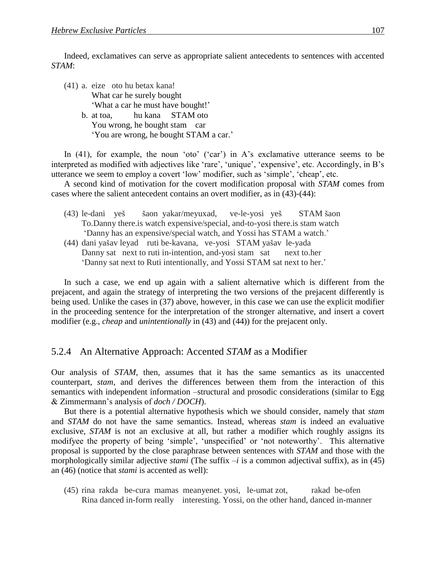Indeed, exclamatives can serve as appropriate salient antecedents to sentences with accented *STAM*:

(41) a. eize oto hu betax kana! What car he surely bought 'What a car he must have bought!' b. at toa, hu kana STAM oto You wrong, he bought stam car 'You are wrong, he bought STAM a car.'

In (41), for example, the noun 'oto' ('car') in A's exclamative utterance seems to be interpreted as modified with adjectives like 'rare', 'unique', 'expensive', etc. Accordingly, in B's utterance we seem to employ a covert 'low' modifier, such as 'simple', 'cheap', etc.

A second kind of motivation for the covert modification proposal with *STAM* comes from cases where the salient antecedent contains an overt modifier, as in (43)-(44):

- (43) le-dani yeš šaon yakar/meyuxad, ve-le-yosi yeš STAM šaon To.Danny there.is watch expensive/special, and-to-yosi there.is stam watch 'Danny has an expensive/special watch, and Yossi has STAM a watch.'
- (44) dani yašav leyad ruti be-kavana, ve-yosi STAM yašav le-yada Danny sat next to ruti in-intention, and-yosi stam sat next to.her 'Danny sat next to Ruti intentionally, and Yossi STAM sat next to her.'

In such a case, we end up again with a salient alternative which is different from the prejacent, and again the strategy of interpreting the two versions of the prejacent differently is being used. Unlike the cases in (37) above, however, in this case we can use the explicit modifier in the proceeding sentence for the interpretation of the stronger alternative, and insert a covert modifier (e.g., *cheap* and *unintentionally* in (43) and (44)) for the prejacent only.

#### 5.2.4 An Alternative Approach: Accented *STAM* as a Modifier

Our analysis of *STAM*, then, assumes that it has the same semantics as its unaccented counterpart, *stam*, and derives the differences between them from the interaction of this semantics with independent information –structural and prosodic considerations (similar to Egg & Zimmermann's analysis of *doch / DOCH*).

But there is a potential alternative hypothesis which we should consider, namely that *stam* and *STAM* do not have the same semantics. Instead, whereas *stam* is indeed an evaluative exclusive, *STAM* is not an exclusive at all, but rather a modifier which roughly assigns its modifyee the property of being 'simple', 'unspecified' or 'not noteworthy'. This alternative proposal is supported by the close paraphrase between sentences with *STAM* and those with the morphologically similar adjective *stami* (The suffix *–i* is a common adjectival suffix), as in (45) an (46) (notice that *stami* is accented as well):

(45) rina rakda be-cura mamas meanyenet. yosi, le-umat zot, rakad be-ofen Rina danced in-form really interesting. Yossi, on the other hand, danced in-manner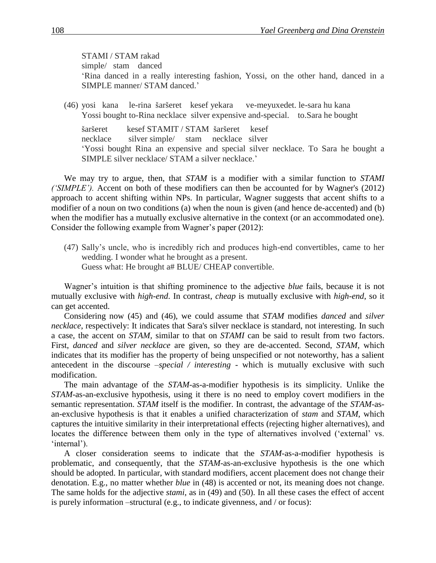#### STAMI / STAM rakad simple/ stam danced 'Rina danced in a really interesting fashion, Yossi, on the other hand, danced in a SIMPLE manner/ STAM danced.'

(46) yosi kana le-rina šaršeret kesef yekara ve-meyuxedet. le-sara hu kana Yossi bought to-Rina necklace silver expensive and-special. to.Sara he bought

šaršeret kesef STAMIT / STAM šaršeret kesef necklace silver simple/ stam necklace silver 'Yossi bought Rina an expensive and special silver necklace. To Sara he bought a SIMPLE silver necklace/ STAM a silver necklace.'

We may try to argue, then, that *STAM* is a modifier with a similar function to *STAMI ('SIMPLE').* Accent on both of these modifiers can then be accounted for by Wagner's (2012) approach to accent shifting within NPs. In particular, Wagner suggests that accent shifts to a modifier of a noun on two conditions (a) when the noun is given (and hence de-accented) and (b) when the modifier has a mutually exclusive alternative in the context (or an accommodated one). Consider the following example from Wagner's paper (2012):

(47) Sally's uncle, who is incredibly rich and produces high-end convertibles, came to her wedding. I wonder what he brought as a present. Guess what: He brought a# BLUE/ CHEAP convertible.

Wagner's intuition is that shifting prominence to the adjective *blue* fails, because it is not mutually exclusive with *high-end*. In contrast, *cheap* is mutually exclusive with *high-end*, so it can get accented.

Considering now (45) and (46), we could assume that *STAM* modifies *danced* and *silver necklace*, respectively: It indicates that Sara's silver necklace is standard, not interesting. In such a case, the accent on *STAM,* similar to that on *STAMI* can be said to result from two factors. First, *danced* and *silver necklace* are given, so they are de-accented. Second, *STAM*, which indicates that its modifier has the property of being unspecified or not noteworthy, has a salient antecedent in the discourse *–special / interesting -* which is mutually exclusive with such modification.

The main advantage of the *STAM*-as-a-modifier hypothesis is its simplicity. Unlike the *STAM-*as-an-exclusive hypothesis, using it there is no need to employ covert modifiers in the semantic representation. *STAM* itself is the modifier. In contrast, the advantage of the *STAM*-asan-exclusive hypothesis is that it enables a unified characterization of *stam* and *STAM*, which captures the intuitive similarity in their interpretational effects (rejecting higher alternatives), and locates the difference between them only in the type of alternatives involved ('external' vs. 'internal').

A closer consideration seems to indicate that the *STAM*-as-a-modifier hypothesis is problematic, and consequently, that the *STAM-*as-an-exclusive hypothesis is the one which should be adopted. In particular, with standard modifiers, accent placement does not change their denotation. E.g., no matter whether *blue* in (48) is accented or not, its meaning does not change. The same holds for the adjective *stami*, as in (49) and (50). In all these cases the effect of accent is purely information –structural (e.g., to indicate givenness, and / or focus):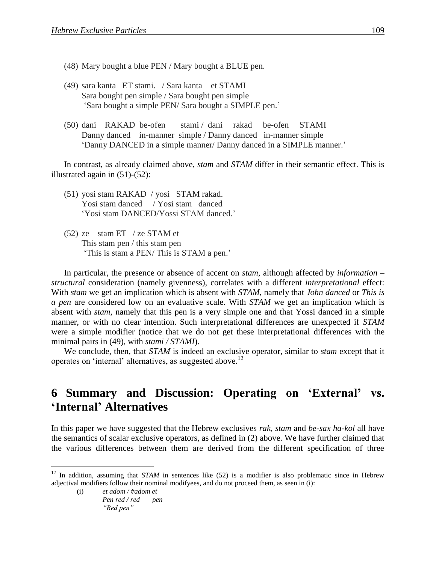- (48) Mary bought a blue PEN / Mary bought a BLUE pen.
- (49) sara kanta ET stami. / Sara kanta et STAMI Sara bought pen simple / Sara bought pen simple 'Sara bought a simple PEN/ Sara bought a SIMPLE pen.'
- (50) dani RAKAD be-ofen stami / dani rakad be-ofen STAMI Danny danced in-manner simple / Danny danced in-manner simple 'Danny DANCED in a simple manner/ Danny danced in a SIMPLE manner.'

In contrast, as already claimed above, *stam* and *STAM* differ in their semantic effect. This is illustrated again in (51)-(52):

- (51) yosi stam RAKAD / yosi STAM rakad. Yosi stam danced / Yosi stam danced 'Yosi stam DANCED/Yossi STAM danced.'
- (52) ze stam ET / ze STAM et This stam pen / this stam pen 'This is stam a PEN/ This is STAM a pen.'

In particular, the presence or absence of accent on *stam*, although affected by *information* – *structural* consideration (namely givenness), correlates with a different *interpretational* effect: With *stam* we get an implication which is absent with *STAM*, namely that *John danced* or *This is a pen* are considered low on an evaluative scale. With *STAM* we get an implication which is absent with *stam*, namely that this pen is a very simple one and that Yossi danced in a simple manner, or with no clear intention. Such interpretational differences are unexpected if *STAM* were a simple modifier (notice that we do not get these interpretational differences with the minimal pairs in (49), with *stami / STAMI*).

We conclude, then, that *STAM* is indeed an exclusive operator, similar to *stam* except that it operates on 'internal' alternatives, as suggested above.<sup>12</sup>

# **6** Summary and Discussion: Operating on 'External' vs. **'Internal' Alternatives**

In this paper we have suggested that the Hebrew exclusives *rak, stam* and *be-sax ha-kol* all have the semantics of scalar exclusive operators, as defined in (2) above. We have further claimed that the various differences between them are derived from the different specification of three

<sup>&</sup>lt;sup>12</sup> In addition, assuming that *STAM* in sentences like (52) is a modifier is also problematic since in Hebrew adjectival modifiers follow their nominal modifyees, and do not proceed them, as seen in (i):

<sup>(</sup>i) *et adom / #adom et Pen red / red pen "Red pen"*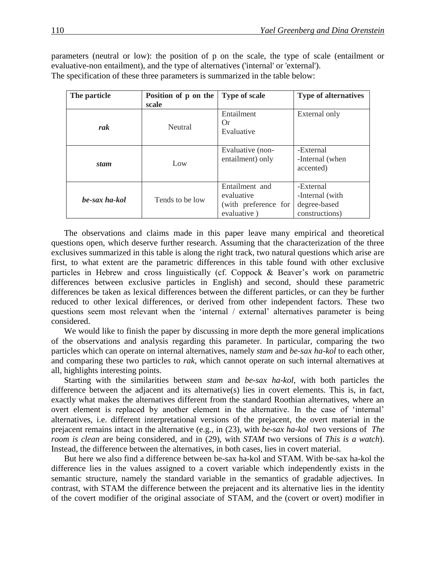parameters (neutral or low): the position of p on the scale, the type of scale (entailment or evaluative-non entailment), and the type of alternatives ('internal' or 'external'). The specification of these three parameters is summarized in the table below:

| The particle  | Position of p on the | <b>Type of scale</b>                                                | <b>Type of alternatives</b>                                     |
|---------------|----------------------|---------------------------------------------------------------------|-----------------------------------------------------------------|
|               | scale                |                                                                     |                                                                 |
| rak           | <b>Neutral</b>       | Entailment<br>Or<br>Evaluative                                      | External only                                                   |
| stam          | Low                  | Evaluative (non-<br>entailment) only                                | -External<br>-Internal (when<br>accented)                       |
| be-sax ha-kol | Tends to be low      | Entailment and<br>evaluative<br>(with preference for<br>evaluative) | -External<br>-Internal (with)<br>degree-based<br>constructions) |

The observations and claims made in this paper leave many empirical and theoretical questions open, which deserve further research. Assuming that the characterization of the three exclusives summarized in this table is along the right track, two natural questions which arise are first, to what extent are the parametric differences in this table found with other exclusive particles in Hebrew and cross linguistically (cf. Coppock & Beaver's work on parametric differences between exclusive particles in English) and second, should these parametric differences be taken as lexical differences between the different particles, or can they be further reduced to other lexical differences, or derived from other independent factors. These two questions seem most relevant when the 'internal / external' alternatives parameter is being considered.

We would like to finish the paper by discussing in more depth the more general implications of the observations and analysis regarding this parameter. In particular, comparing the two particles which can operate on internal alternatives, namely *stam* and *be-sax ha-kol* to each other, and comparing these two particles to *rak,* which cannot operate on such internal alternatives at all, highlights interesting points.

Starting with the similarities between *stam* and *be-sax ha-kol,* with both particles the difference between the adjacent and its alternative(s) lies in covert elements. This is, in fact, exactly what makes the alternatives different from the standard Roothian alternatives, where an overt element is replaced by another element in the alternative. In the case of 'internal' alternatives, i.e. different interpretational versions of the prejacent, the overt material in the prejacent remains intact in the alternative (e.g., in (23), with *be-sax ha-kol* two versions of *The room is clean* are being considered, and in (29), with *STAM* two versions of *This is a watch*). Instead, the difference between the alternatives, in both cases, lies in covert material.

But here we also find a difference between be-sax ha-kol and STAM. With be-sax ha-kol the difference lies in the values assigned to a covert variable which independently exists in the semantic structure, namely the standard variable in the semantics of gradable adjectives. In contrast, with STAM the difference between the prejacent and its alternative lies in the identity of the covert modifier of the original associate of STAM, and the (covert or overt) modifier in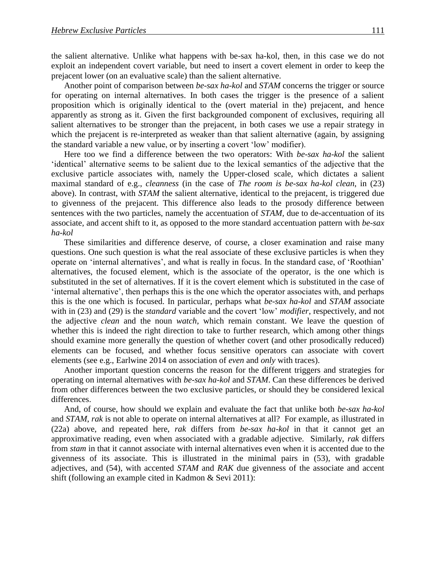the salient alternative. Unlike what happens with be-sax ha-kol, then, in this case we do not exploit an independent covert variable, but need to insert a covert element in order to keep the prejacent lower (on an evaluative scale) than the salient alternative.

Another point of comparison between *be-sax ha-kol* and *STAM* concerns the trigger or source for operating on internal alternatives. In both cases the trigger is the presence of a salient proposition which is originally identical to the (overt material in the) prejacent, and hence apparently as strong as it. Given the first backgrounded component of exclusives, requiring all salient alternatives to be stronger than the prejacent, in both cases we use a repair strategy in which the prejacent is re-interpreted as weaker than that salient alternative (again, by assigning the standard variable a new value, or by inserting a covert 'low' modifier).

Here too we find a difference between the two operators: With *be-sax ha-kol* the salient 'identical' alternative seems to be salient due to the lexical semantics of the adjective that the exclusive particle associates with, namely the Upper-closed scale, which dictates a salient maximal standard of e.g., *cleanness* (in the case of *The room is be-sax ha-kol clean*, in (23) above). In contrast, with *STAM* the salient alternative, identical to the prejacent, is triggered due to givenness of the prejacent. This difference also leads to the prosody difference between sentences with the two particles, namely the accentuation of *STAM,* due to de-accentuation of its associate, and accent shift to it, as opposed to the more standard accentuation pattern with *be-sax ha-kol*

These similarities and difference deserve, of course, a closer examination and raise many questions. One such question is what the real associate of these exclusive particles is when they operate on 'internal alternatives', and what is really in focus. In the standard case, of 'Roothian' alternatives, the focused element, which is the associate of the operator, is the one which is substituted in the set of alternatives. If it is the covert element which is substituted in the case of 'internal alternative', then perhaps this is the one which the operator associates with, and perhaps this is the one which is focused. In particular, perhaps what *be-sax ha-kol* and *STAM* associate with in (23) and (29) is the *standard* variable and the covert 'low' *modifier*, respectively, and not the adjective *clean* and the noun *watch,* which remain constant. We leave the question of whether this is indeed the right direction to take to further research, which among other things should examine more generally the question of whether covert (and other prosodically reduced) elements can be focused, and whether focus sensitive operators can associate with covert elements (see e.g., Earlwine 2014 on association of *even* and *only* with traces).

Another important question concerns the reason for the different triggers and strategies for operating on internal alternatives with *be-sax ha-kol* and *STAM*. Can these differences be derived from other differences between the two exclusive particles, or should they be considered lexical differences.

And, of course, how should we explain and evaluate the fact that unlike both *be-sax ha-kol* and *STAM*, *rak* is not able to operate on internal alternatives at all? For example, as illustrated in (22a) above, and repeated here, *rak* differs from *be-sax ha-kol* in that it cannot get an approximative reading, even when associated with a gradable adjective. Similarly, *rak* differs from *stam* in that it cannot associate with internal alternatives even when it is accented due to the givenness of its associate. This is illustrated in the minimal pairs in (53), with gradable adjectives, and (54), with accented *STAM* and *RAK* due givenness of the associate and accent shift (following an example cited in Kadmon & Sevi 2011):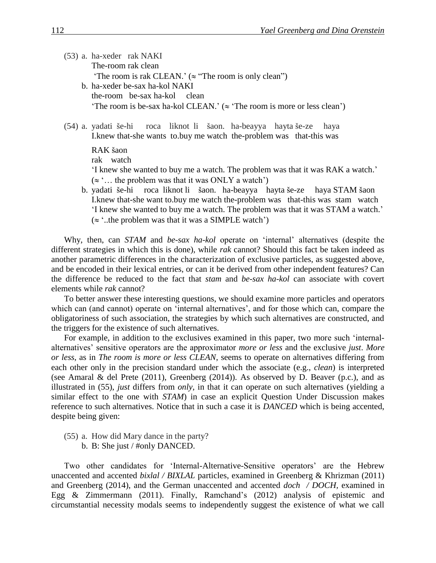(53) a. ha-xeder rak NAKI The-room rak clean 'The room is rak CLEAN.' ( $\approx$  "The room is only clean") b. ha-xeder be-sax ha-kol NAKI the-room be-sax ha-kol clean 'The room is be-sax ha-kol CLEAN.' ( $\approx$  'The room is more or less clean')

(54) a. yadati še-hi roca liknot li šaon. ha-beayya hayta še-ze haya I.knew that-she wants to.buy me watch the-problem was that-this was

RAK šaon

rak watch

'I knew she wanted to buy me a watch. The problem was that it was RAK a watch.'  $(\approx)$ ... the problem was that it was ONLY a watch')

b. yadati še-hi roca liknot li šaon. ha-beayya hayta še-ze haya STAM šaon I.knew that-she want to.buy me watch the-problem was that-this was stam watch 'I knew she wanted to buy me a watch. The problem was that it was STAM a watch.'  $(\approx$  '..the problem was that it was a SIMPLE watch')

Why, then, can *STAM* and *be-sax ha-kol* operate on 'internal' alternatives (despite the different strategies in which this is done), while *rak* cannot? Should this fact be taken indeed as another parametric differences in the characterization of exclusive particles, as suggested above, and be encoded in their lexical entries, or can it be derived from other independent features? Can the difference be reduced to the fact that *stam* and *be-sax ha-kol* can associate with covert elements while *rak* cannot?

To better answer these interesting questions, we should examine more particles and operators which can (and cannot) operate on 'internal alternatives', and for those which can, compare the obligatoriness of such association, the strategies by which such alternatives are constructed, and the triggers for the existence of such alternatives.

For example, in addition to the exclusives examined in this paper, two more such 'internalalternatives' sensitive operators are the approximator *more or less* and the exclusive *just*. *More or less*, as in *The room is more or less CLEAN*, seems to operate on alternatives differing from each other only in the precision standard under which the associate (e.g., *clean*) is interpreted (see Amaral & del Prete (2011), Greenberg (2014)). As observed by D. Beaver (p.c.), and as illustrated in (55), *just* differs from *only*, in that it can operate on such alternatives (yielding a similar effect to the one with *STAM*) in case an explicit Question Under Discussion makes reference to such alternatives. Notice that in such a case it is *DANCED* which is being accented, despite being given:

(55) a. How did Mary dance in the party? b. B: She just / #only DANCED.

Two other candidates for 'Internal-Alternative-Sensitive operators' are the Hebrew unaccented and accented *bixlal / BIXLAL* particles, examined in Greenberg & Khrizman (2011) and Greenberg (2014), and the German unaccented and accented *doch / DOCH,* examined in Egg & Zimmermann (2011). Finally, Ramchand's (2012) analysis of epistemic and circumstantial necessity modals seems to independently suggest the existence of what we call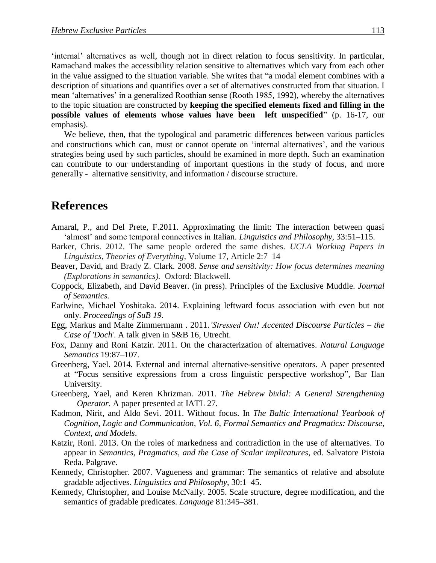'internal' alternatives as well, though not in direct relation to focus sensitivity. In particular, Ramachand makes the accessibility relation sensitive to alternatives which vary from each other in the value assigned to the situation variable. She writes that "a modal element combines with a description of situations and quantifies over a set of alternatives constructed from that situation. I mean 'alternatives' in a generalized Roothian sense (Rooth 1985, 1992), whereby the alternatives to the topic situation are constructed by **keeping the specified elements fixed and filling in the possible values of elements whose values have been left unspecified**" (p. 16-17, our emphasis).

We believe, then, that the typological and parametric differences between various particles and constructions which can, must or cannot operate on 'internal alternatives', and the various strategies being used by such particles, should be examined in more depth. Such an examination can contribute to our understanding of important questions in the study of focus, and more generally - alternative sensitivity, and information / discourse structure.

## **References**

- [Amaral,](http://philpapers.org/s/Patr%C3%ADcia%20Amaral) P., and [Del Prete,](http://philpapers.org/s/Fabio%20Del%20Prete) F.2011. Approximating the limit: The interaction between quasi 'almost' and some temporal connectives in Italian. *Linguistics and Philosophy,* 33:51–115.
- Barker, Chris. 2012. The same people ordered the same dishes. *UCLA Working Papers in Linguistics*, *Theories of Everything,* Volume 17, Article 2:7–14
- Beaver, David, and Brady Z. Clark. 2008. *Sense and sensitivity: How focus determines meaning (Explorations in semantics).* Oxford: Blackwell.
- Coppock, Elizabeth, and David Beaver. (in press). Principles of the Exclusive Muddle. *Journal of Semantics.*
- Earlwine, Michael Yoshitaka. 2014. Explaining leftward focus association with even but not only. *Proceedings of SuB 19*.
- Egg, Markus and Malte Zimmermann . 2011.*'Stressed Out! Accented Discourse Particles – the Case of 'Doch*'. A talk given in S&B 16, Utrecht.
- Fox, Danny and Roni Katzir. 2011. On the characterization of alternatives. *Natural Language Semantics* 19:87–107.
- Greenberg, Yael. 2014. External and internal alternative-sensitive operators. A paper presented at "Focus sensitive expressions from a cross linguistic perspective workshop", Bar Ilan University.
- Greenberg, Yael, and Keren Khrizman. 2011. *The Hebrew bixlal: A General Strengthening Operator*. A paper presented at IATL 27.
- Kadmon, Nirit, and Aldo Sevi. 2011. Without focus. In *The Baltic International Yearbook of Cognition, Logic and Communication, Vol. 6, Formal Semantics and Pragmatics: Discourse, Context, and Models*.
- Katzir, Roni. 2013. On the roles of markedness and contradiction in the use of alternatives. To appear in *Semantics, Pragmatics, and the Case of Scalar implicatures*, ed. Salvatore Pistoia Reda. Palgrave.
- Kennedy, Christopher. 2007. Vagueness and grammar: The semantics of relative and absolute gradable adjectives. *Linguistics and Philosophy*, 30:1–45.
- Kennedy, Christopher, and Louise McNally. 2005. Scale structure, degree modification, and the semantics of gradable predicates. *Language* 81:345–381.